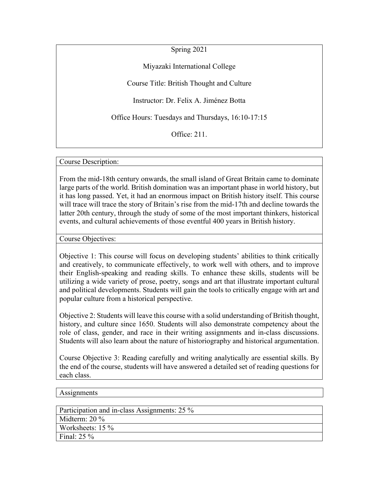Spring 2021

Miyazaki International College

Course Title: British Thought and Culture

Instructor: Dr. Felix A. Jiménez Botta

Office Hours: Tuesdays and Thursdays, 16:10-17:15

Office: 211.

Course Description:

From the mid-18th century onwards, the small island of Great Britain came to dominate large parts of the world. British domination was an important phase in world history, but it has long passed. Yet, it had an enormous impact on British history itself. This course will trace will trace the story of Britain's rise from the mid-17th and decline towards the latter 20th century, through the study of some of the most important thinkers, historical events, and cultural achievements of those eventful 400 years in British history.

Course Objectives:

Objective 1: This course will focus on developing students' abilities to think critically and creatively, to communicate effectively, to work well with others, and to improve their English-speaking and reading skills. To enhance these skills, students will be utilizing a wide variety of prose, poetry, songs and art that illustrate important cultural and political developments. Students will gain the tools to critically engage with art and popular culture from a historical perspective.

Objective 2: Students will leave this course with a solid understanding of British thought, history, and culture since 1650. Students will also demonstrate competency about the role of class, gender, and race in their writing assignments and in-class discussions. Students will also learn about the nature of historiography and historical argumentation.

Course Objective 3: Reading carefully and writing analytically are essential skills. By the end of the course, students will have answered a detailed set of reading questions for each class.

#### **Assignments**

| Participation and in-class Assignments: 25 % |
|----------------------------------------------|
| Midterm: $20\%$                              |
| Worksheets: $15\%$                           |
| Final: $25\%$                                |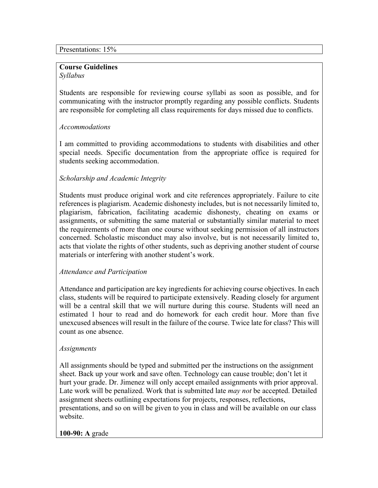### **Course Guidelines**

### *Syllabus*

Students are responsible for reviewing course syllabi as soon as possible, and for communicating with the instructor promptly regarding any possible conflicts. Students are responsible for completing all class requirements for days missed due to conflicts.

# *Accommodations*

I am committed to providing accommodations to students with disabilities and other special needs. Specific documentation from the appropriate office is required for students seeking accommodation.

# *Scholarship and Academic Integrity*

Students must produce original work and cite references appropriately. Failure to cite references is plagiarism. Academic dishonesty includes, but is not necessarily limited to, plagiarism, fabrication, facilitating academic dishonesty, cheating on exams or assignments, or submitting the same material or substantially similar material to meet the requirements of more than one course without seeking permission of all instructors concerned. Scholastic misconduct may also involve, but is not necessarily limited to, acts that violate the rights of other students, such as depriving another student of course materials or interfering with another student's work.

# *Attendance and Participation*

Attendance and participation are key ingredients for achieving course objectives. In each class, students will be required to participate extensively. Reading closely for argument will be a central skill that we will nurture during this course. Students will need an estimated 1 hour to read and do homework for each credit hour. More than five unexcused absences will result in the failure of the course. Twice late for class? This will count as one absence.

### *Assignments*

All assignments should be typed and submitted per the instructions on the assignment sheet. Back up your work and save often. Technology can cause trouble; don't let it hurt your grade. Dr. Jimenez will only accept emailed assignments with prior approval. Late work will be penalized. Work that is submitted late *may not* be accepted. Detailed assignment sheets outlining expectations for projects, responses, reflections, presentations, and so on will be given to you in class and will be available on our class website.

### **100-90: A** grade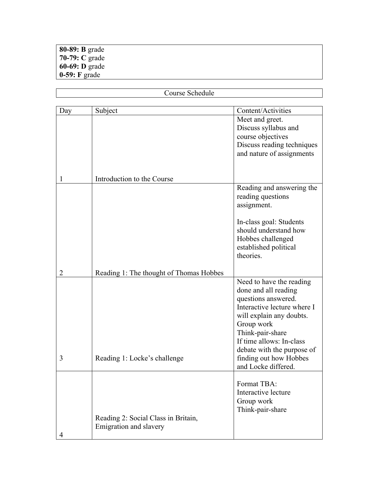### **80-89: B** grade **70-79: C** grade **60-69: D** grade **0-59: F** grade

| Course Schedule |                                         |                             |  |  |
|-----------------|-----------------------------------------|-----------------------------|--|--|
|                 |                                         |                             |  |  |
| Day             | Subject                                 | Content/Activities          |  |  |
|                 |                                         | Meet and greet.             |  |  |
|                 |                                         | Discuss syllabus and        |  |  |
|                 |                                         | course objectives           |  |  |
|                 |                                         | Discuss reading techniques  |  |  |
|                 |                                         | and nature of assignments   |  |  |
|                 |                                         |                             |  |  |
| I               | Introduction to the Course              |                             |  |  |
|                 |                                         | Reading and answering the   |  |  |
|                 |                                         | reading questions           |  |  |
|                 |                                         | assignment.                 |  |  |
|                 |                                         | In-class goal: Students     |  |  |
|                 |                                         | should understand how       |  |  |
|                 |                                         | Hobbes challenged           |  |  |
|                 |                                         | established political       |  |  |
|                 |                                         | theories.                   |  |  |
| $\overline{2}$  | Reading 1: The thought of Thomas Hobbes |                             |  |  |
|                 |                                         | Need to have the reading    |  |  |
|                 |                                         | done and all reading        |  |  |
|                 |                                         | questions answered.         |  |  |
|                 |                                         | Interactive lecture where I |  |  |
|                 | will explain any doubts.                |                             |  |  |
|                 |                                         | Group work                  |  |  |
|                 |                                         | Think-pair-share            |  |  |
|                 |                                         | If time allows: In-class    |  |  |
|                 |                                         | debate with the purpose of  |  |  |
| 3               | Reading 1: Locke's challenge            | finding out how Hobbes      |  |  |
|                 |                                         | and Locke differed.         |  |  |
|                 |                                         | Format TBA:                 |  |  |
|                 |                                         | Interactive lecture         |  |  |
|                 |                                         | Group work                  |  |  |
|                 |                                         | Think-pair-share            |  |  |
|                 | Reading 2: Social Class in Britain,     |                             |  |  |
|                 | Emigration and slavery                  |                             |  |  |
| 4               |                                         |                             |  |  |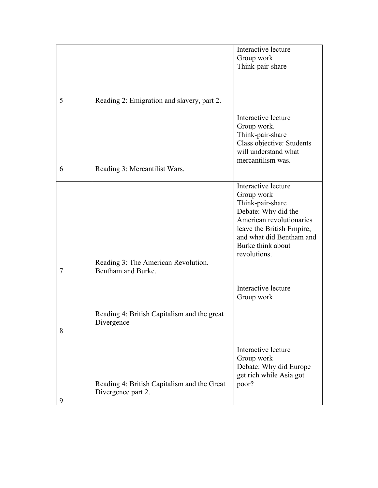|   |                                             | Interactive lecture       |
|---|---------------------------------------------|---------------------------|
|   |                                             | Group work                |
|   |                                             | Think-pair-share          |
|   |                                             |                           |
|   |                                             |                           |
|   |                                             |                           |
| 5 | Reading 2: Emigration and slavery, part 2.  |                           |
|   |                                             |                           |
|   |                                             | Interactive lecture       |
|   |                                             | Group work.               |
|   |                                             | Think-pair-share          |
|   |                                             | Class objective: Students |
|   |                                             | will understand what      |
|   |                                             | mercantilism was.         |
| 6 |                                             |                           |
|   | Reading 3: Mercantilist Wars.               |                           |
|   |                                             | Interactive lecture       |
|   |                                             |                           |
|   |                                             | Group work                |
|   |                                             | Think-pair-share          |
|   |                                             | Debate: Why did the       |
|   |                                             | American revolutionaries  |
|   |                                             | leave the British Empire, |
|   |                                             | and what did Bentham and  |
|   |                                             | Burke think about         |
|   |                                             | revolutions.              |
|   | Reading 3: The American Revolution.         |                           |
| 7 | Bentham and Burke.                          |                           |
|   |                                             |                           |
|   |                                             | Interactive lecture       |
|   |                                             | Group work                |
|   |                                             |                           |
|   | Reading 4: British Capitalism and the great |                           |
|   | Divergence                                  |                           |
| 8 |                                             |                           |
|   |                                             |                           |
|   |                                             | Interactive lecture       |
|   |                                             | Group work                |
|   |                                             | Debate: Why did Europe    |
|   |                                             | get rich while Asia got   |
|   | Reading 4: British Capitalism and the Great | poor?                     |
|   | Divergence part 2.                          |                           |
| 9 |                                             |                           |
|   |                                             |                           |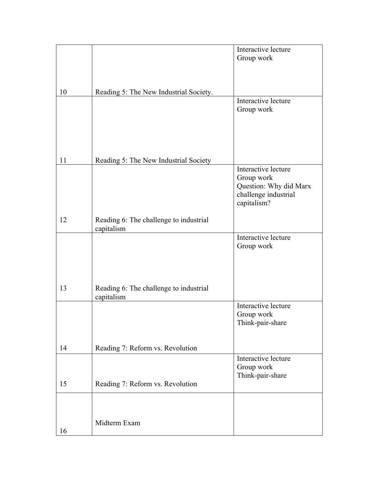|    |                                        | Interactive lecture    |
|----|----------------------------------------|------------------------|
|    |                                        | Group work             |
|    |                                        |                        |
|    |                                        |                        |
|    |                                        |                        |
| 10 | Reading 5: The New Industrial Society. |                        |
|    |                                        | Interactive lecture    |
|    |                                        | Group work             |
|    |                                        |                        |
|    |                                        |                        |
|    |                                        |                        |
|    |                                        |                        |
|    |                                        |                        |
| 11 | Reading 5: The New Industrial Society  |                        |
|    |                                        | Interactive lecture    |
|    |                                        | Group work             |
|    |                                        | Question: Why did Marx |
|    |                                        | challenge industrial   |
|    |                                        | capitalism?            |
|    |                                        |                        |
| 12 | Reading 6: The challenge to industrial |                        |
|    | capitalism                             |                        |
|    |                                        | Interactive lecture    |
|    |                                        | Group work             |
|    |                                        |                        |
|    |                                        |                        |
|    |                                        |                        |
|    |                                        |                        |
| 13 | Reading 6: The challenge to industrial |                        |
|    | capitalism                             |                        |
|    |                                        | Interactive lecture    |
|    |                                        | Group work             |
|    |                                        | Think-pair-share       |
|    |                                        |                        |
|    |                                        |                        |
| 14 | Reading 7: Reform vs. Revolution       |                        |
|    |                                        | Interactive lecture    |
|    |                                        | Group work             |
|    |                                        | Think-pair-share       |
| 15 | Reading 7: Reform vs. Revolution       |                        |
|    |                                        |                        |
|    |                                        |                        |
|    |                                        |                        |
|    |                                        |                        |
|    | Midterm Exam                           |                        |
| 16 |                                        |                        |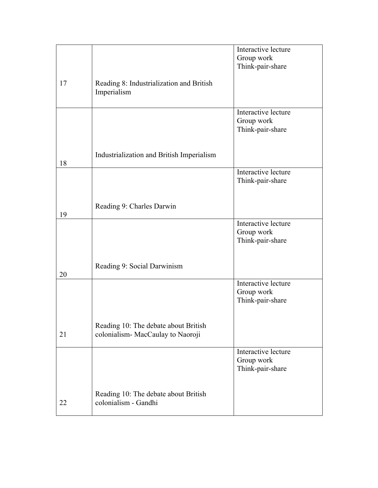|    |                                                                           | Interactive lecture<br>Group work                     |
|----|---------------------------------------------------------------------------|-------------------------------------------------------|
| 17 | Reading 8: Industrialization and British<br>Imperialism                   | Think-pair-share                                      |
|    |                                                                           | Interactive lecture<br>Group work<br>Think-pair-share |
| 18 | Industrialization and British Imperialism                                 |                                                       |
|    |                                                                           | Interactive lecture<br>Think-pair-share               |
| 19 | Reading 9: Charles Darwin                                                 |                                                       |
|    |                                                                           | Interactive lecture<br>Group work<br>Think-pair-share |
| 20 | Reading 9: Social Darwinism                                               |                                                       |
|    |                                                                           | Interactive lecture<br>Group work<br>Think-pair-share |
| 21 | Reading 10: The debate about British<br>colonialism- MacCaulay to Naoroji |                                                       |
|    |                                                                           | Interactive lecture<br>Group work<br>Think-pair-share |
| 22 | Reading 10: The debate about British<br>colonialism - Gandhi              |                                                       |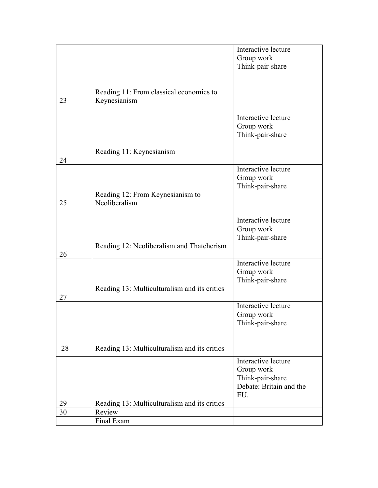|    |                                              | Interactive lecture     |
|----|----------------------------------------------|-------------------------|
|    |                                              | Group work              |
|    |                                              | Think-pair-share        |
|    |                                              |                         |
|    |                                              |                         |
|    | Reading 11: From classical economics to      |                         |
| 23 | Keynesianism                                 |                         |
|    |                                              |                         |
|    |                                              | Interactive lecture     |
|    |                                              | Group work              |
|    |                                              | Think-pair-share        |
|    |                                              |                         |
|    | Reading 11: Keynesianism                     |                         |
| 24 |                                              |                         |
|    |                                              | Interactive lecture     |
|    |                                              | Group work              |
|    |                                              | Think-pair-share        |
|    | Reading 12: From Keynesianism to             |                         |
| 25 | Neoliberalism                                |                         |
|    |                                              |                         |
|    |                                              | Interactive lecture     |
|    |                                              | Group work              |
|    |                                              | Think-pair-share        |
|    | Reading 12: Neoliberalism and Thatcherism    |                         |
| 26 |                                              |                         |
|    |                                              | Interactive lecture     |
|    |                                              | Group work              |
|    |                                              | Think-pair-share        |
|    | Reading 13: Multiculturalism and its critics |                         |
| 27 |                                              |                         |
|    |                                              | Interactive lecture     |
|    |                                              | Group work              |
|    |                                              | Think-pair-share        |
|    |                                              |                         |
|    |                                              |                         |
| 28 | Reading 13: Multiculturalism and its critics |                         |
|    |                                              | Interactive lecture     |
|    |                                              | Group work              |
|    |                                              | Think-pair-share        |
|    |                                              | Debate: Britain and the |
|    |                                              | EU.                     |
| 29 | Reading 13: Multiculturalism and its critics |                         |
| 30 | Review                                       |                         |
|    | Final Exam                                   |                         |
|    |                                              |                         |